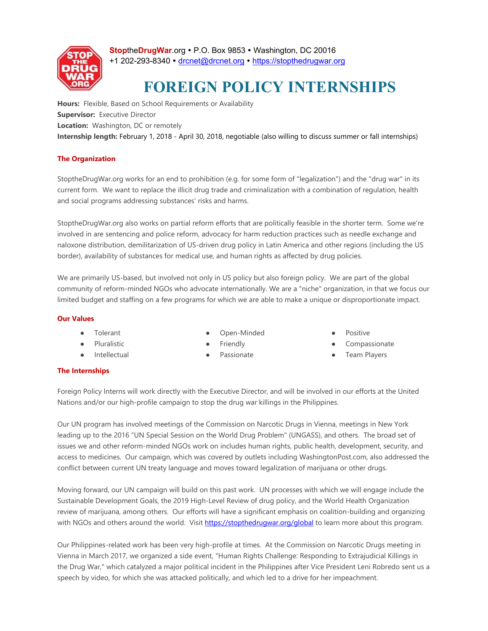

**StopheDrugWar.org • P.O. Box 9853 • Washington, DC 20016** +1 202-293-8340 · drcnet@drcnet.org · https://stopthedrugwar.org

# **FOREIGN POLICY INTERNSHIPS**

**Hours:** Flexible, Based on School Requirements or Availability **Supervisor:** Executive Director **Location:** Washington, DC or remotely **Internship length:** February 1, 2018 - April 30, 2018, negotiable (also willing to discuss summer or fall internships)

# **The Organization**

StoptheDrugWar.org works for an end to prohibition (e.g. for some form of "legalization") and the "drug war" in its current form. We want to replace the illicit drug trade and criminalization with a combination of regulation, health and social programs addressing substances' risks and harms.

StoptheDrugWar.org also works on partial reform efforts that are politically feasible in the shorter term. Some we're involved in are sentencing and police reform, advocacy for harm reduction practices such as needle exchange and naloxone distribution, demilitarization of US-driven drug policy in Latin America and other regions (including the US border), availability of substances for medical use, and human rights as affected by drug policies.

We are primarily US-based, but involved not only in US policy but also foreign policy. We are part of the global community of reform-minded NGOs who advocate internationally. We are a "niche" organization, in that we focus our limited budget and staffing on a few programs for which we are able to make a unique or disproportionate impact.

### **Our Values**

- Tolerant
- Pluralistic
- Intellectual

Open-Minded **Friendly** 

Passionate

- **Positive**
- Compassionate
- Team Players

### **The Internships**

Foreign Policy Interns will work directly with the Executive Director, and will be involved in our efforts at the United Nations and/or our high-profile campaign to stop the drug war killings in the Philippines.

Our UN program has involved meetings of the Commission on Narcotic Drugs in Vienna, meetings in New York leading up to the 2016 "UN Special Session on the World Drug Problem" (UNGASS), and others. The broad set of issues we and other reform-minded NGOs work on includes human rights, public health, development, security, and access to medicines. Our campaign, which was covered by outlets including WashingtonPost.com, also addressed the conflict between current UN treaty language and moves toward legalization of marijuana or other drugs.

Moving forward, our UN campaign will build on this past work. UN processes with which we will engage include the Sustainable Development Goals, the 2019 High-Level Review of drug policy, and the World Health Organization review of marijuana, among others. Our efforts will have a significant emphasis on coalition-building and organizing with NGOs and others around the world. Visit https://stopthedrugwar.org/global to learn more about this program.

Our Philippines-related work has been very high-profile at times. At the Commission on Narcotic Drugs meeting in Vienna in March 2017, we organized a side event, "Human Rights Challenge: Responding to Extrajudicial Killings in the Drug War," which catalyzed a major political incident in the Philippines after Vice President Leni Robredo sent us a speech by video, for which she was attacked politically, and which led to a drive for her impeachment.